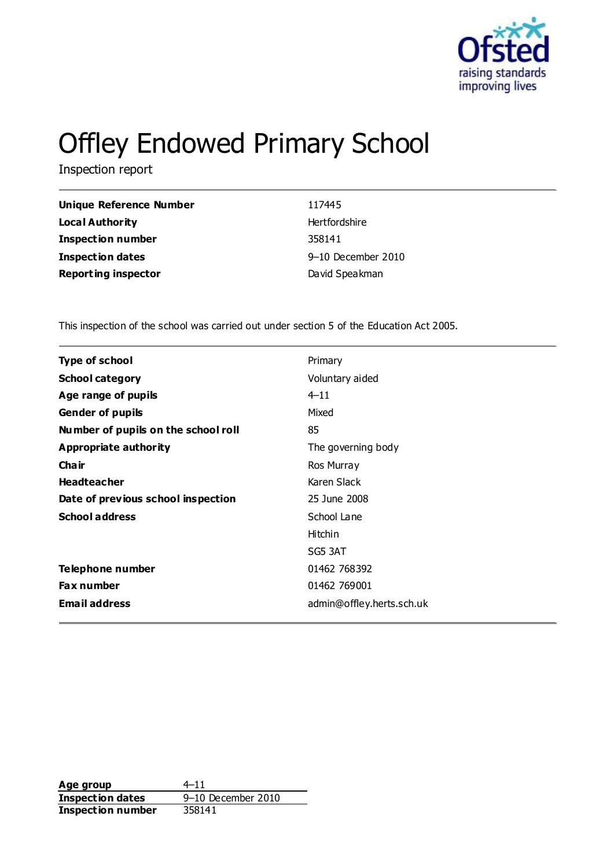

# Offley Endowed Primary School

Inspection report

| 117445             |
|--------------------|
| Hertfordshire      |
| 358141             |
| 9-10 December 2010 |
| David Speakman     |
|                    |

This inspection of the school was carried out under section 5 of the Education Act 2005.

| <b>Type of school</b>               | Primary                   |
|-------------------------------------|---------------------------|
| <b>School category</b>              | Voluntary aided           |
| Age range of pupils                 | $4 - 11$                  |
| <b>Gender of pupils</b>             | Mixed                     |
| Number of pupils on the school roll | 85                        |
| Appropriate authority               | The governing body        |
| Cha ir                              | Ros Murray                |
| <b>Headteacher</b>                  | Karen Slack               |
| Date of previous school inspection  | 25 June 2008              |
| <b>School address</b>               | School Lane               |
|                                     | Hitchin                   |
|                                     | SG5 3AT                   |
| Telephone number                    | 01462 768392              |
| <b>Fax number</b>                   | 01462 769001              |
| <b>Email address</b>                | admin@offley.herts.sch.uk |

**Age group** 4–11 **Inspection dates** 9–10 December 2010 **Inspection number** 358141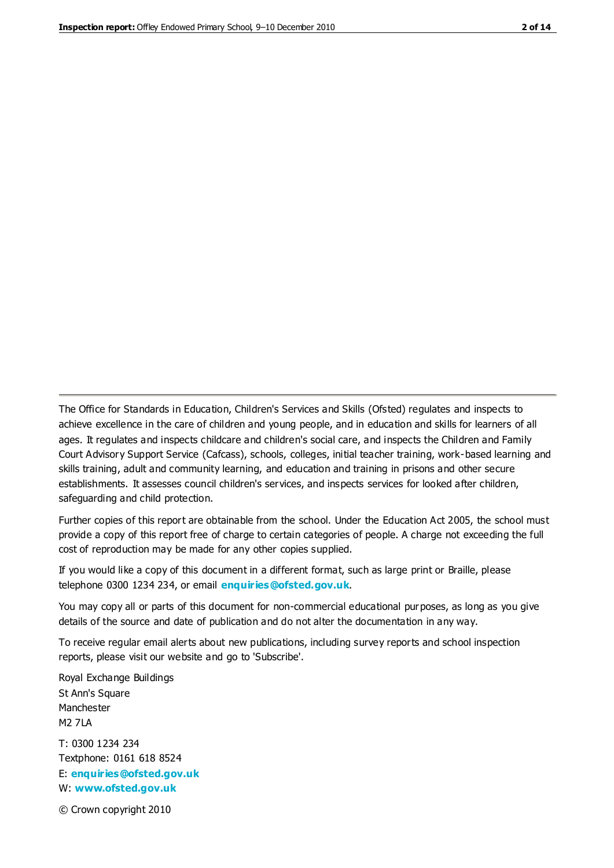The Office for Standards in Education, Children's Services and Skills (Ofsted) regulates and inspects to achieve excellence in the care of children and young people, and in education and skills for learners of all ages. It regulates and inspects childcare and children's social care, and inspects the Children and Family Court Advisory Support Service (Cafcass), schools, colleges, initial teacher training, work-based learning and skills training, adult and community learning, and education and training in prisons and other secure establishments. It assesses council children's services, and inspects services for looked after children, safeguarding and child protection.

Further copies of this report are obtainable from the school. Under the Education Act 2005, the school must provide a copy of this report free of charge to certain categories of people. A charge not exceeding the full cost of reproduction may be made for any other copies supplied.

If you would like a copy of this document in a different format, such as large print or Braille, please telephone 0300 1234 234, or email **[enquiries@ofsted.gov.uk](mailto:enquiries@ofsted.gov.uk)**.

You may copy all or parts of this document for non-commercial educational purposes, as long as you give details of the source and date of publication and do not alter the documentation in any way.

To receive regular email alerts about new publications, including survey reports and school inspection reports, please visit our website and go to 'Subscribe'.

Royal Exchange Buildings St Ann's Square Manchester M2 7LA T: 0300 1234 234 Textphone: 0161 618 8524 E: **[enquiries@ofsted.gov.uk](mailto:enquiries@ofsted.gov.uk)** W: **[www.ofsted.gov.uk](http://www.ofsted.gov.uk/)**

© Crown copyright 2010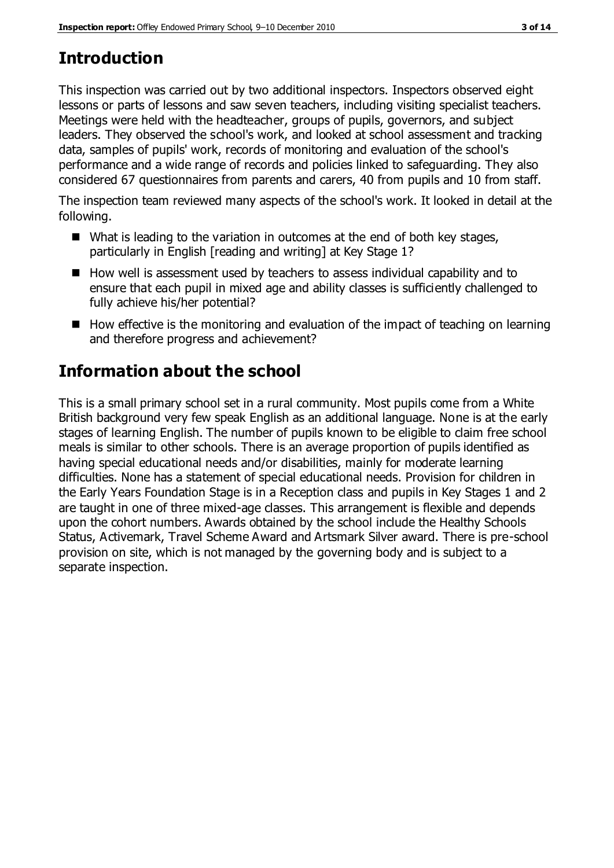# **Introduction**

This inspection was carried out by two additional inspectors. Inspectors observed eight lessons or parts of lessons and saw seven teachers, including visiting specialist teachers. Meetings were held with the headteacher, groups of pupils, governors, and subject leaders. They observed the school's work, and looked at school assessment and tracking data, samples of pupils' work, records of monitoring and evaluation of the school's performance and a wide range of records and policies linked to safeguarding. They also considered 67 questionnaires from parents and carers, 40 from pupils and 10 from staff.

The inspection team reviewed many aspects of the school's work. It looked in detail at the following.

- What is leading to the variation in outcomes at the end of both key stages, particularly in English [reading and writing] at Key Stage 1?
- $\blacksquare$  How well is assessment used by teachers to assess individual capability and to ensure that each pupil in mixed age and ability classes is sufficiently challenged to fully achieve his/her potential?
- $\blacksquare$  How effective is the monitoring and evaluation of the impact of teaching on learning and therefore progress and achievement?

## **Information about the school**

This is a small primary school set in a rural community. Most pupils come from a White British background very few speak English as an additional language. None is at the early stages of learning English. The number of pupils known to be eligible to claim free school meals is similar to other schools. There is an average proportion of pupils identified as having special educational needs and/or disabilities, mainly for moderate learning difficulties. None has a statement of special educational needs. Provision for children in the Early Years Foundation Stage is in a Reception class and pupils in Key Stages 1 and 2 are taught in one of three mixed-age classes. This arrangement is flexible and depends upon the cohort numbers. Awards obtained by the school include the Healthy Schools Status, Activemark, Travel Scheme Award and Artsmark Silver award. There is pre-school provision on site, which is not managed by the governing body and is subject to a separate inspection.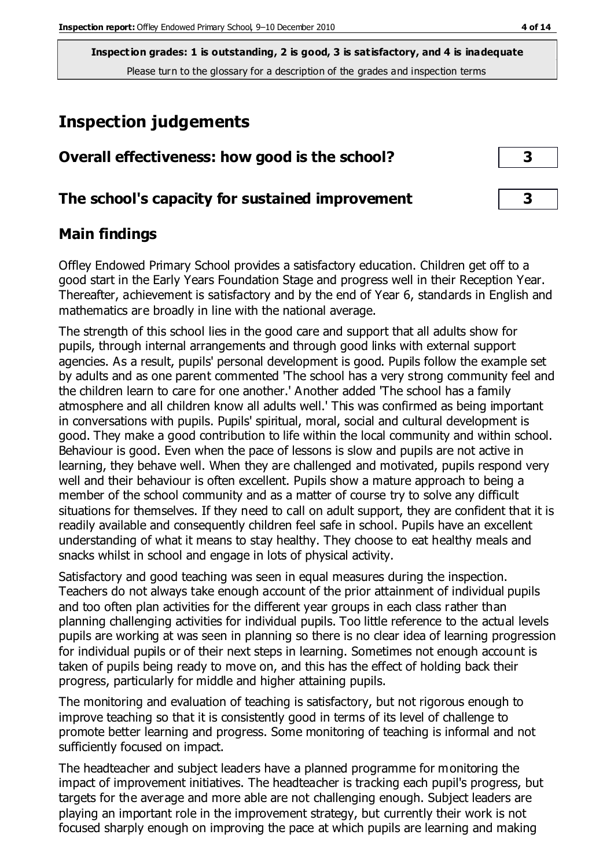## **Inspection judgements**

| Overall effectiveness: how good is the school?  |  |
|-------------------------------------------------|--|
| The school's capacity for sustained improvement |  |

## **Main findings**

Offley Endowed Primary School provides a satisfactory education. Children get off to a good start in the Early Years Foundation Stage and progress well in their Reception Year. Thereafter, achievement is satisfactory and by the end of Year 6, standards in English and mathematics are broadly in line with the national average.

The strength of this school lies in the good care and support that all adults show for pupils, through internal arrangements and through good links with external support agencies. As a result, pupils' personal development is good. Pupils follow the example set by adults and as one parent commented 'The school has a very strong community feel and the children learn to care for one another.' Another added 'The school has a family atmosphere and all children know all adults well.' This was confirmed as being important in conversations with pupils. Pupils' spiritual, moral, social and cultural development is good. They make a good contribution to life within the local community and within school. Behaviour is good. Even when the pace of lessons is slow and pupils are not active in learning, they behave well. When they are challenged and motivated, pupils respond very well and their behaviour is often excellent. Pupils show a mature approach to being a member of the school community and as a matter of course try to solve any difficult situations for themselves. If they need to call on adult support, they are confident that it is readily available and consequently children feel safe in school. Pupils have an excellent understanding of what it means to stay healthy. They choose to eat healthy meals and snacks whilst in school and engage in lots of physical activity.

Satisfactory and good teaching was seen in equal measures during the inspection. Teachers do not always take enough account of the prior attainment of individual pupils and too often plan activities for the different year groups in each class rather than planning challenging activities for individual pupils. Too little reference to the actual levels pupils are working at was seen in planning so there is no clear idea of learning progression for individual pupils or of their next steps in learning. Sometimes not enough account is taken of pupils being ready to move on, and this has the effect of holding back their progress, particularly for middle and higher attaining pupils.

The monitoring and evaluation of teaching is satisfactory, but not rigorous enough to improve teaching so that it is consistently good in terms of its level of challenge to promote better learning and progress. Some monitoring of teaching is informal and not sufficiently focused on impact.

The headteacher and subject leaders have a planned programme for monitoring the impact of improvement initiatives. The headteacher is tracking each pupil's progress, but targets for the average and more able are not challenging enough. Subject leaders are playing an important role in the improvement strategy, but currently their work is not focused sharply enough on improving the pace at which pupils are learning and making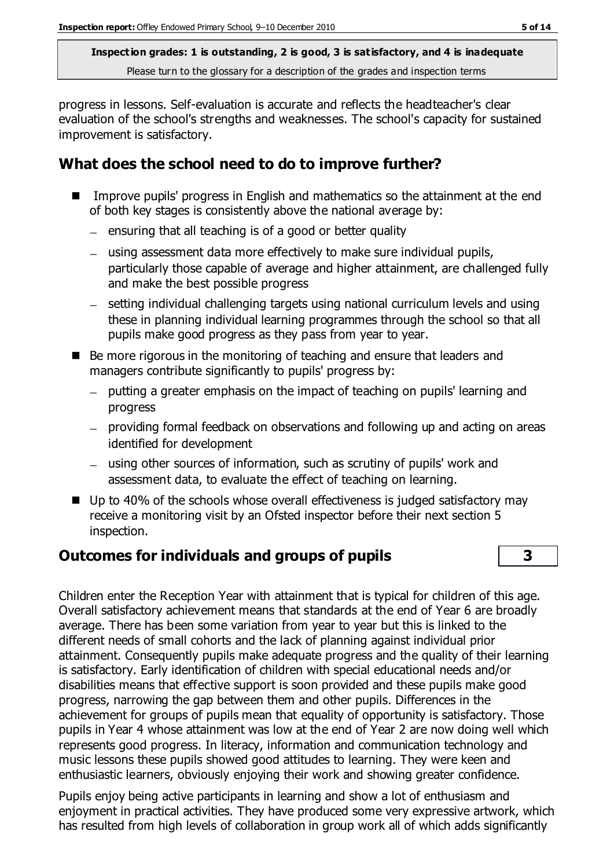progress in lessons. Self-evaluation is accurate and reflects the headteacher's clear evaluation of the school's strengths and weaknesses. The school's capacity for sustained improvement is satisfactory.

#### **What does the school need to do to improve further?**

- Improve pupils' progress in English and mathematics so the attainment at the end of both key stages is consistently above the national average by:
	- $-$  ensuring that all teaching is of a good or better quality
	- using assessment data more effectively to make sure individual pupils, particularly those capable of average and higher attainment, are challenged fully and make the best possible progress
	- setting individual challenging targets using national curriculum levels and using these in planning individual learning programmes through the school so that all pupils make good progress as they pass from year to year.
- Be more rigorous in the monitoring of teaching and ensure that leaders and managers contribute significantly to pupils' progress by:
	- putting a greater emphasis on the impact of teaching on pupils' learning and progress
	- providing formal feedback on observations and following up and acting on areas identified for development
	- using other sources of information, such as scrutiny of pupils' work and assessment data, to evaluate the effect of teaching on learning.
- Up to 40% of the schools whose overall effectiveness is judged satisfactory may receive a monitoring visit by an Ofsted inspector before their next section 5 inspection.

#### **Outcomes for individuals and groups of pupils 3**

Children enter the Reception Year with attainment that is typical for children of this age. Overall satisfactory achievement means that standards at the end of Year 6 are broadly average. There has been some variation from year to year but this is linked to the different needs of small cohorts and the lack of planning against individual prior attainment. Consequently pupils make adequate progress and the quality of their learning is satisfactory. Early identification of children with special educational needs and/or disabilities means that effective support is soon provided and these pupils make good progress, narrowing the gap between them and other pupils. Differences in the achievement for groups of pupils mean that equality of opportunity is satisfactory. Those pupils in Year 4 whose attainment was low at the end of Year 2 are now doing well which represents good progress. In literacy, information and communication technology and music lessons these pupils showed good attitudes to learning. They were keen and enthusiastic learners, obviously enjoying their work and showing greater confidence.

Pupils enjoy being active participants in learning and show a lot of enthusiasm and enjoyment in practical activities. They have produced some very expressive artwork, which has resulted from high levels of collaboration in group work all of which adds significantly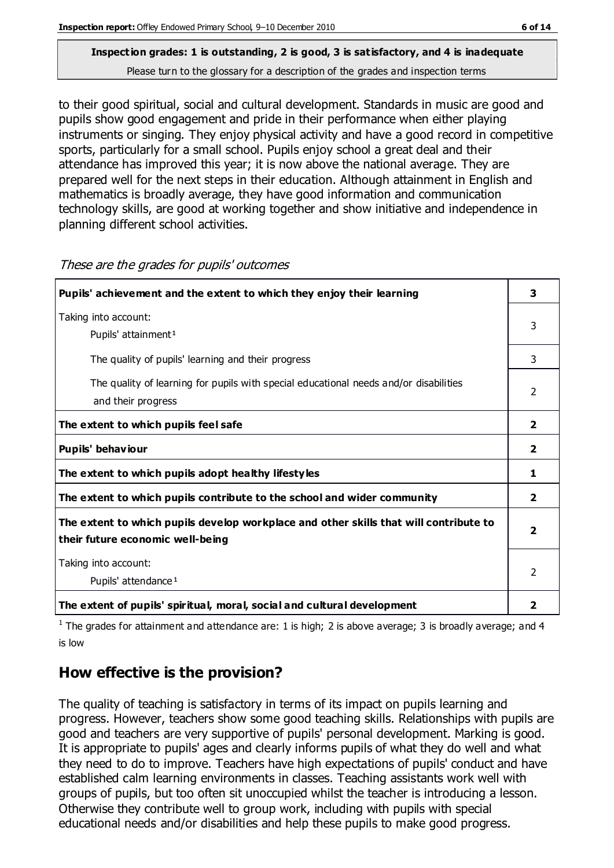to their good spiritual, social and cultural development. Standards in music are good and pupils show good engagement and pride in their performance when either playing instruments or singing. They enjoy physical activity and have a good record in competitive sports, particularly for a small school. Pupils enjoy school a great deal and their attendance has improved this year; it is now above the national average. They are prepared well for the next steps in their education. Although attainment in English and mathematics is broadly average, they have good information and communication

technology skills, are good at working together and show initiative and independence in planning different school activities. These are the grades for pupils' outcomes

| Pupils' achievement and the extent to which they enjoy their learning                                                     | 3                       |
|---------------------------------------------------------------------------------------------------------------------------|-------------------------|
| Taking into account:<br>Pupils' attainment <sup>1</sup>                                                                   | 3                       |
| The quality of pupils' learning and their progress                                                                        | 3                       |
| The quality of learning for pupils with special educational needs and/or disabilities<br>and their progress               | $\mathcal{P}$           |
| The extent to which pupils feel safe                                                                                      | $\mathbf{2}$            |
| Pupils' behaviour                                                                                                         | 2                       |
| The extent to which pupils adopt healthy lifestyles                                                                       | 1                       |
| The extent to which pupils contribute to the school and wider community                                                   | $\overline{\mathbf{2}}$ |
| The extent to which pupils develop workplace and other skills that will contribute to<br>their future economic well-being |                         |
| Taking into account:<br>Pupils' attendance <sup>1</sup>                                                                   | $\overline{2}$          |
| The extent of pupils' spiritual, moral, social and cultural development                                                   | 2                       |

<sup>1</sup> The grades for attainment and attendance are: 1 is high; 2 is above average; 3 is broadly average; and 4 is low

## **How effective is the provision?**

The quality of teaching is satisfactory in terms of its impact on pupils learning and progress. However, teachers show some good teaching skills. Relationships with pupils are good and teachers are very supportive of pupils' personal development. Marking is good. It is appropriate to pupils' ages and clearly informs pupils of what they do well and what they need to do to improve. Teachers have high expectations of pupils' conduct and have established calm learning environments in classes. Teaching assistants work well with groups of pupils, but too often sit unoccupied whilst the teacher is introducing a lesson. Otherwise they contribute well to group work, including with pupils with special educational needs and/or disabilities and help these pupils to make good progress.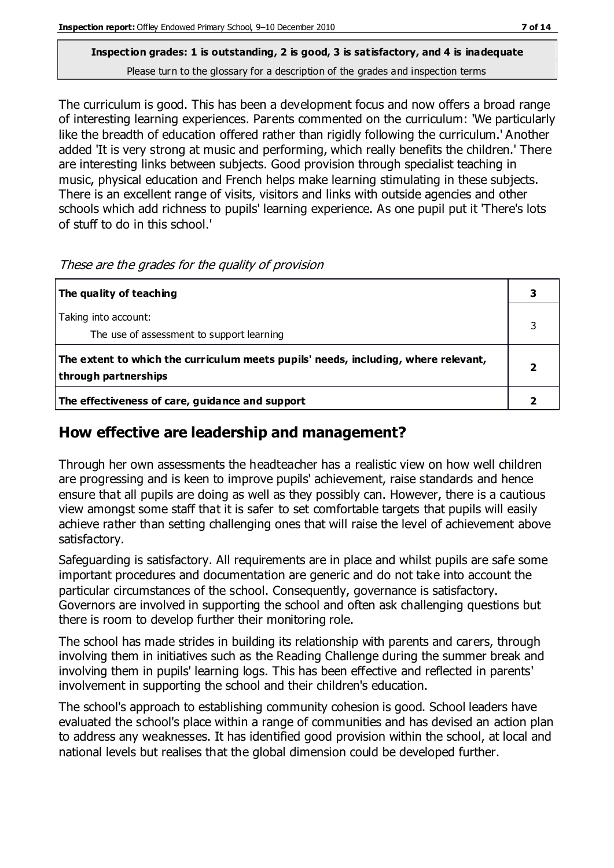# **Inspection grades: 1 is outstanding, 2 is good, 3 is satisfactory, and 4 is inadequate**

Please turn to the glossary for a description of the grades and inspection terms

The curriculum is good. This has been a development focus and now offers a broad range of interesting learning experiences. Parents commented on the curriculum: 'We particularly like the breadth of education offered rather than rigidly following the curriculum.' Another added 'It is very strong at music and performing, which really benefits the children.' There are interesting links between subjects. Good provision through specialist teaching in music, physical education and French helps make learning stimulating in these subjects. There is an excellent range of visits, visitors and links with outside agencies and other schools which add richness to pupils' learning experience. As one pupil put it 'There's lots of stuff to do in this school.'

| The quality of teaching                                                                                    |  |
|------------------------------------------------------------------------------------------------------------|--|
| Taking into account:<br>The use of assessment to support learning                                          |  |
| The extent to which the curriculum meets pupils' needs, including, where relevant,<br>through partnerships |  |
| The effectiveness of care, guidance and support                                                            |  |

These are the grades for the quality of provision

## **How effective are leadership and management?**

Through her own assessments the headteacher has a realistic view on how well children are progressing and is keen to improve pupils' achievement, raise standards and hence ensure that all pupils are doing as well as they possibly can. However, there is a cautious view amongst some staff that it is safer to set comfortable targets that pupils will easily achieve rather than setting challenging ones that will raise the level of achievement above satisfactory.

Safeguarding is satisfactory. All requirements are in place and whilst pupils are safe some important procedures and documentation are generic and do not take into account the particular circumstances of the school. Consequently, governance is satisfactory. Governors are involved in supporting the school and often ask challenging questions but there is room to develop further their monitoring role.

The school has made strides in building its relationship with parents and carers, through involving them in initiatives such as the Reading Challenge during the summer break and involving them in pupils' learning logs. This has been effective and reflected in parents' involvement in supporting the school and their children's education.

The school's approach to establishing community cohesion is good. School leaders have evaluated the school's place within a range of communities and has devised an action plan to address any weaknesses. It has identified good provision within the school, at local and national levels but realises that the global dimension could be developed further.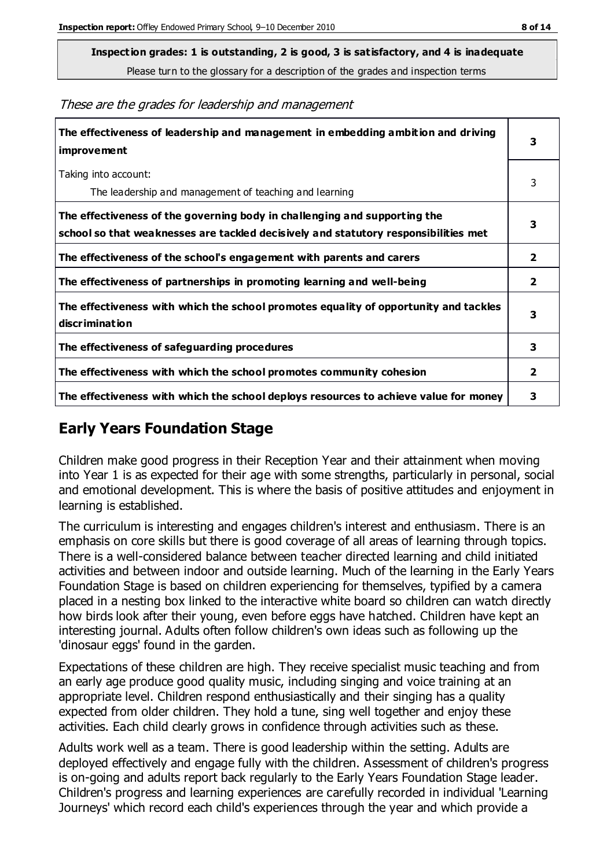**Inspection grades: 1 is outstanding, 2 is good, 3 is satisfactory, and 4 is inadequate**

Please turn to the glossary for a description of the grades and inspection terms

These are the grades for leadership and management

| The effectiveness of leadership and management in embedding ambition and driving<br>improvement                                                                  |                |
|------------------------------------------------------------------------------------------------------------------------------------------------------------------|----------------|
| Taking into account:<br>The leadership and management of teaching and learning                                                                                   | 3              |
| The effectiveness of the governing body in challenging and supporting the<br>school so that weaknesses are tackled decisively and statutory responsibilities met | 3              |
| The effectiveness of the school's engagement with parents and carers                                                                                             | $\overline{2}$ |
| The effectiveness of partnerships in promoting learning and well-being                                                                                           | $\overline{2}$ |
| The effectiveness with which the school promotes equality of opportunity and tackles<br>discrimination                                                           | 3              |
| The effectiveness of safeguarding procedures                                                                                                                     | 3              |
| The effectiveness with which the school promotes community cohesion                                                                                              | $\mathbf{2}$   |
| The effectiveness with which the school deploys resources to achieve value for money                                                                             | 3              |

## **Early Years Foundation Stage**

Children make good progress in their Reception Year and their attainment when moving into Year 1 is as expected for their age with some strengths, particularly in personal, social and emotional development. This is where the basis of positive attitudes and enjoyment in learning is established.

The curriculum is interesting and engages children's interest and enthusiasm. There is an emphasis on core skills but there is good coverage of all areas of learning through topics. There is a well-considered balance between teacher directed learning and child initiated activities and between indoor and outside learning. Much of the learning in the Early Years Foundation Stage is based on children experiencing for themselves, typified by a camera placed in a nesting box linked to the interactive white board so children can watch directly how birds look after their young, even before eggs have hatched. Children have kept an interesting journal. Adults often follow children's own ideas such as following up the 'dinosaur eggs' found in the garden.

Expectations of these children are high. They receive specialist music teaching and from an early age produce good quality music, including singing and voice training at an appropriate level. Children respond enthusiastically and their singing has a quality expected from older children. They hold a tune, sing well together and enjoy these activities. Each child clearly grows in confidence through activities such as these.

Adults work well as a team. There is good leadership within the setting. Adults are deployed effectively and engage fully with the children. Assessment of children's progress is on-going and adults report back regularly to the Early Years Foundation Stage leader. Children's progress and learning experiences are carefully recorded in individual 'Learning Journeys' which record each child's experiences through the year and which provide a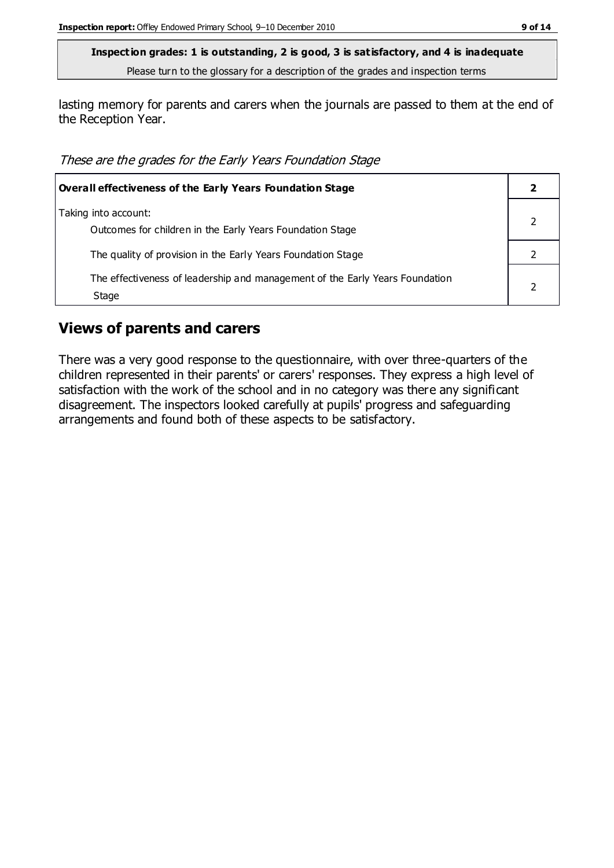lasting memory for parents and carers when the journals are passed to them at the end of the Reception Year.

These are the grades for the Early Years Foundation Stage

| <b>Overall effectiveness of the Early Years Foundation Stage</b>                      |  |  |
|---------------------------------------------------------------------------------------|--|--|
| Taking into account:<br>Outcomes for children in the Early Years Foundation Stage     |  |  |
| The quality of provision in the Early Years Foundation Stage                          |  |  |
| The effectiveness of leadership and management of the Early Years Foundation<br>Stage |  |  |

#### **Views of parents and carers**

There was a very good response to the questionnaire, with over three-quarters of the children represented in their parents' or carers' responses. They express a high level of satisfaction with the work of the school and in no category was there any significant disagreement. The inspectors looked carefully at pupils' progress and safeguarding arrangements and found both of these aspects to be satisfactory.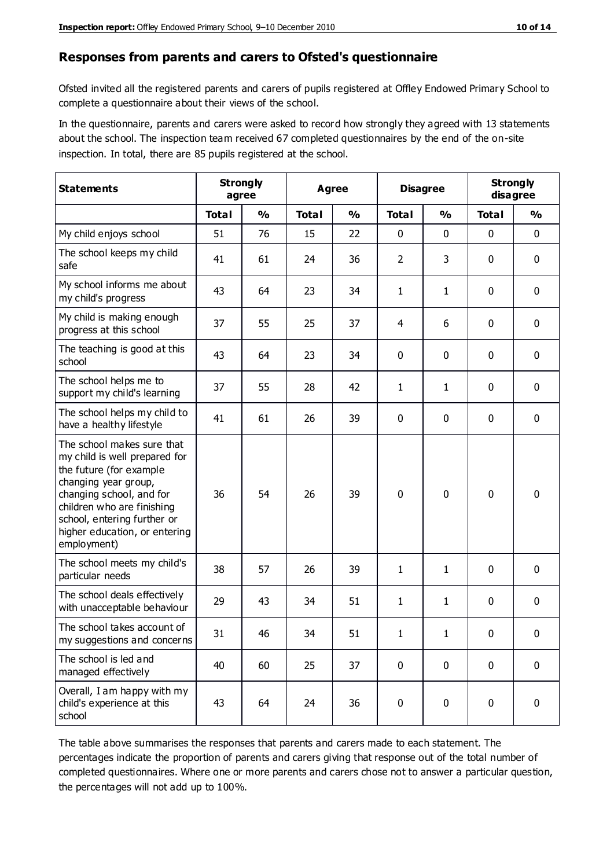#### **Responses from parents and carers to Ofsted's questionnaire**

Ofsted invited all the registered parents and carers of pupils registered at Offley Endowed Primary School to complete a questionnaire about their views of the school.

In the questionnaire, parents and carers were asked to record how strongly they agreed with 13 statements about the school. The inspection team received 67 completed questionnaires by the end of the on-site inspection. In total, there are 85 pupils registered at the school.

| <b>Statements</b>                                                                                                                                                                                                                                       | <b>Strongly</b><br>agree |               |              | Agree         |                | <b>Disagree</b> |              | <b>Strongly</b><br>disagree |
|---------------------------------------------------------------------------------------------------------------------------------------------------------------------------------------------------------------------------------------------------------|--------------------------|---------------|--------------|---------------|----------------|-----------------|--------------|-----------------------------|
|                                                                                                                                                                                                                                                         | <b>Total</b>             | $\frac{0}{0}$ | <b>Total</b> | $\frac{0}{0}$ | <b>Total</b>   | $\frac{0}{0}$   | <b>Total</b> | $\frac{0}{0}$               |
| My child enjoys school                                                                                                                                                                                                                                  | 51                       | 76            | 15           | 22            | 0              | 0               | $\mathbf 0$  | $\mathbf 0$                 |
| The school keeps my child<br>safe                                                                                                                                                                                                                       | 41                       | 61            | 24           | 36            | $\overline{2}$ | 3               | $\mathbf 0$  | $\mathbf 0$                 |
| My school informs me about<br>my child's progress                                                                                                                                                                                                       | 43                       | 64            | 23           | 34            | 1              | $\mathbf{1}$    | $\mathbf 0$  | $\mathbf 0$                 |
| My child is making enough<br>progress at this school                                                                                                                                                                                                    | 37                       | 55            | 25           | 37            | 4              | 6               | 0            | $\mathbf 0$                 |
| The teaching is good at this<br>school                                                                                                                                                                                                                  | 43                       | 64            | 23           | 34            | 0              | 0               | $\mathbf 0$  | $\mathbf 0$                 |
| The school helps me to<br>support my child's learning                                                                                                                                                                                                   | 37                       | 55            | 28           | 42            | 1              | $\mathbf{1}$    | $\mathbf 0$  | $\mathbf 0$                 |
| The school helps my child to<br>have a healthy lifestyle                                                                                                                                                                                                | 41                       | 61            | 26           | 39            | 0              | $\mathbf 0$     | $\mathbf 0$  | $\mathbf 0$                 |
| The school makes sure that<br>my child is well prepared for<br>the future (for example<br>changing year group,<br>changing school, and for<br>children who are finishing<br>school, entering further or<br>higher education, or entering<br>employment) | 36                       | 54            | 26           | 39            | $\mathbf 0$    | $\mathbf{0}$    | $\mathbf 0$  | $\mathbf 0$                 |
| The school meets my child's<br>particular needs                                                                                                                                                                                                         | 38                       | 57            | 26           | 39            | 1              | $\mathbf{1}$    | $\mathbf 0$  | $\mathbf 0$                 |
| The school deals effectively<br>with unacceptable behaviour                                                                                                                                                                                             | 29                       | 43            | 34           | 51            | 1              | $\mathbf{1}$    | $\mathbf 0$  | 0                           |
| The school takes account of<br>my suggestions and concerns                                                                                                                                                                                              | 31                       | 46            | 34           | 51            | $\mathbf{1}$   | $\mathbf{1}$    | 0            | 0                           |
| The school is led and<br>managed effectively                                                                                                                                                                                                            | 40                       | 60            | 25           | 37            | $\mathbf 0$    | $\mathbf 0$     | $\mathbf 0$  | $\mathbf 0$                 |
| Overall, I am happy with my<br>child's experience at this<br>school                                                                                                                                                                                     | 43                       | 64            | 24           | 36            | $\pmb{0}$      | 0               | $\mathbf 0$  | $\mathbf 0$                 |

The table above summarises the responses that parents and carers made to each statement. The percentages indicate the proportion of parents and carers giving that response out of the total number of completed questionnaires. Where one or more parents and carers chose not to answer a particular question, the percentages will not add up to 100%.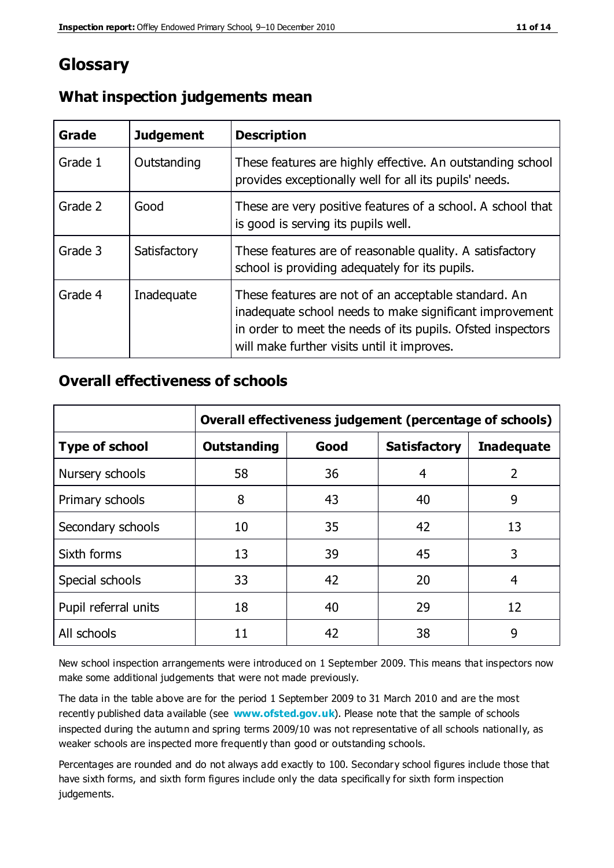## **Glossary**

| Grade   | <b>Judgement</b> | <b>Description</b>                                                                                                                                                                                                            |  |
|---------|------------------|-------------------------------------------------------------------------------------------------------------------------------------------------------------------------------------------------------------------------------|--|
| Grade 1 | Outstanding      | These features are highly effective. An outstanding school<br>provides exceptionally well for all its pupils' needs.                                                                                                          |  |
| Grade 2 | Good             | These are very positive features of a school. A school that<br>is good is serving its pupils well.                                                                                                                            |  |
| Grade 3 | Satisfactory     | These features are of reasonable quality. A satisfactory<br>school is providing adequately for its pupils.                                                                                                                    |  |
| Grade 4 | Inadequate       | These features are not of an acceptable standard. An<br>inadequate school needs to make significant improvement<br>in order to meet the needs of its pupils. Ofsted inspectors<br>will make further visits until it improves. |  |

#### **What inspection judgements mean**

## **Overall effectiveness of schools**

|                       | Overall effectiveness judgement (percentage of schools) |      |                     |                   |
|-----------------------|---------------------------------------------------------|------|---------------------|-------------------|
| <b>Type of school</b> | <b>Outstanding</b>                                      | Good | <b>Satisfactory</b> | <b>Inadequate</b> |
| Nursery schools       | 58                                                      | 36   | 4                   | 2                 |
| Primary schools       | 8                                                       | 43   | 40                  | 9                 |
| Secondary schools     | 10                                                      | 35   | 42                  | 13                |
| Sixth forms           | 13                                                      | 39   | 45                  | 3                 |
| Special schools       | 33                                                      | 42   | 20                  | 4                 |
| Pupil referral units  | 18                                                      | 40   | 29                  | 12                |
| All schools           | 11                                                      | 42   | 38                  | 9                 |

New school inspection arrangements were introduced on 1 September 2009. This means that inspectors now make some additional judgements that were not made previously.

The data in the table above are for the period 1 September 2009 to 31 March 2010 and are the most recently published data available (see **[www.ofsted.gov.uk](http://www.ofsted.gov.uk/)**). Please note that the sample of schools inspected during the autumn and spring terms 2009/10 was not representative of all schools nationally, as weaker schools are inspected more frequently than good or outstanding schools.

Percentages are rounded and do not always add exactly to 100. Secondary school figures include those that have sixth forms, and sixth form figures include only the data specifically for sixth form inspection judgements.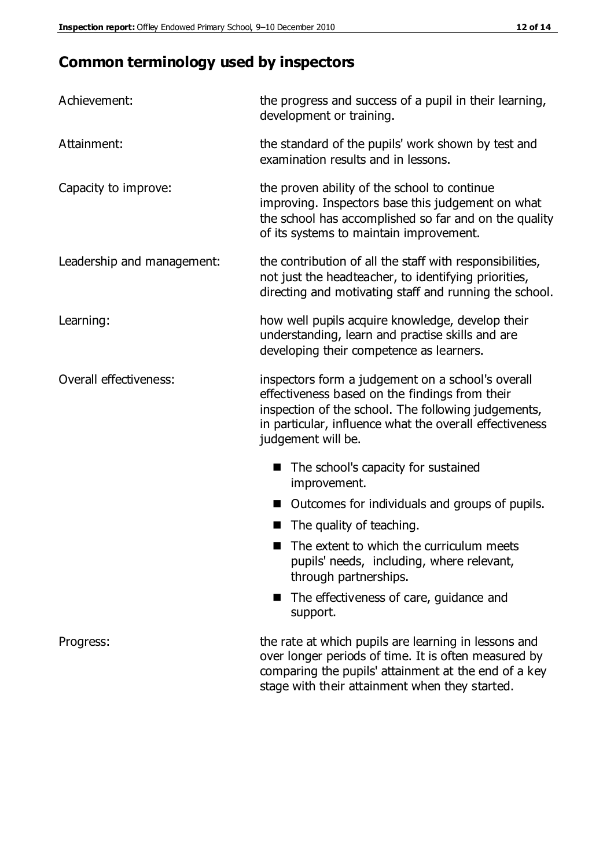## **Common terminology used by inspectors**

| Achievement:                  | the progress and success of a pupil in their learning,<br>development or training.                                                                                                                                                          |  |  |
|-------------------------------|---------------------------------------------------------------------------------------------------------------------------------------------------------------------------------------------------------------------------------------------|--|--|
| Attainment:                   | the standard of the pupils' work shown by test and<br>examination results and in lessons.                                                                                                                                                   |  |  |
| Capacity to improve:          | the proven ability of the school to continue<br>improving. Inspectors base this judgement on what<br>the school has accomplished so far and on the quality<br>of its systems to maintain improvement.                                       |  |  |
| Leadership and management:    | the contribution of all the staff with responsibilities,<br>not just the headteacher, to identifying priorities,<br>directing and motivating staff and running the school.                                                                  |  |  |
| Learning:                     | how well pupils acquire knowledge, develop their<br>understanding, learn and practise skills and are<br>developing their competence as learners.                                                                                            |  |  |
| <b>Overall effectiveness:</b> | inspectors form a judgement on a school's overall<br>effectiveness based on the findings from their<br>inspection of the school. The following judgements,<br>in particular, influence what the overall effectiveness<br>judgement will be. |  |  |
|                               | The school's capacity for sustained<br>improvement.                                                                                                                                                                                         |  |  |
|                               | Outcomes for individuals and groups of pupils.                                                                                                                                                                                              |  |  |
|                               | The quality of teaching.                                                                                                                                                                                                                    |  |  |
|                               | The extent to which the curriculum meets<br>pupils' needs, including, where relevant,<br>through partnerships.                                                                                                                              |  |  |
|                               | The effectiveness of care, guidance and<br>support.                                                                                                                                                                                         |  |  |
| Progress:                     | the rate at which pupils are learning in lessons and<br>over longer periods of time. It is often measured by<br>comparing the pupils' attainment at the end of a key                                                                        |  |  |

stage with their attainment when they started.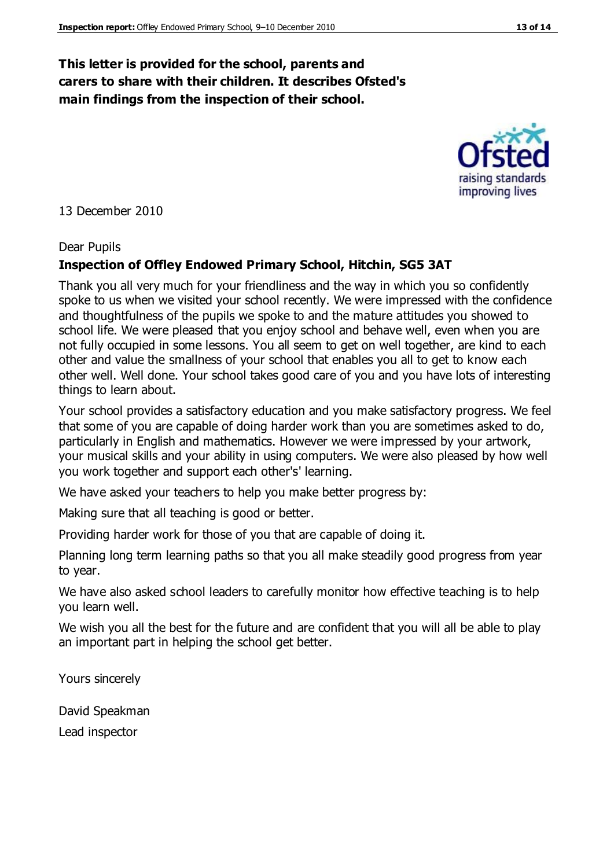#### **This letter is provided for the school, parents and carers to share with their children. It describes Ofsted's main findings from the inspection of their school.**

13 December 2010

#### Dear Pupils

#### **Inspection of Offley Endowed Primary School, Hitchin, SG5 3AT**

Thank you all very much for your friendliness and the way in which you so confidently spoke to us when we visited your school recently. We were impressed with the confidence and thoughtfulness of the pupils we spoke to and the mature attitudes you showed to school life. We were pleased that you enjoy school and behave well, even when you are not fully occupied in some lessons. You all seem to get on well together, are kind to each other and value the smallness of your school that enables you all to get to know each other well. Well done. Your school takes good care of you and you have lots of interesting things to learn about.

Your school provides a satisfactory education and you make satisfactory progress. We feel that some of you are capable of doing harder work than you are sometimes asked to do, particularly in English and mathematics. However we were impressed by your artwork, your musical skills and your ability in using computers. We were also pleased by how well you work together and support each other's' learning.

We have asked your teachers to help you make better progress by:

Making sure that all teaching is good or better.

Providing harder work for those of you that are capable of doing it.

Planning long term learning paths so that you all make steadily good progress from year to year.

We have also asked school leaders to carefully monitor how effective teaching is to help you learn well.

We wish you all the best for the future and are confident that you will all be able to play an important part in helping the school get better.

Yours sincerely

David Speakman